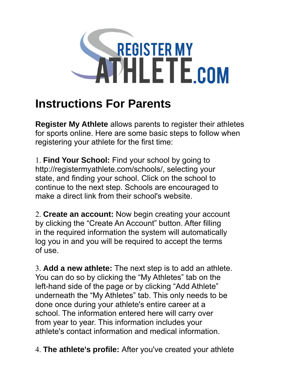

## **Instructions For Parents**

**Register My Athlete** allows parents to register their athletes for sports online. Here are some basic steps to follow when registering your athlete for the first time:

1. **Find Your School:** Find your school by going to http://registermyathlete.com/schools/, selecting your state, and finding your school. Click on the school to continue to the next step. Schools are encouraged to make a direct link from their school's website.

2. **Create an account:** Now begin creating your account by clicking the "Create An Account" button. After filling in the required information the system will automatically log you in and you will be required to accept the terms of use.

3. **Add a new athlete:** The next step is to add an athlete. You can do so by clicking the "My Athletes" tab on the left-hand side of the page or by clicking "Add Athlete" underneath the "My Athletes" tab. This only needs to be done once during your athlete's entire career at a school. The information entered here will carry over from year to year. This information includes your athlete's contact information and medical information.

4. **The athlete's profile:** After you've created your athlete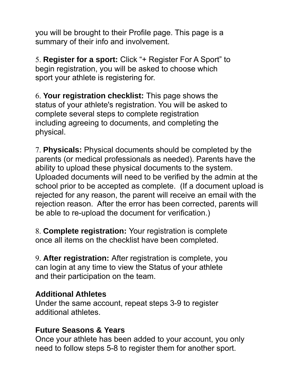you will be brought to their Profile page. This page is a summary of their info and involvement.

5. **Register for a sport:** Click "+ Register For A Sport" to begin registration, you will be asked to choose which sport your athlete is registering for.

6. **Your registration checklist:** This page shows the status of your athlete's registration. You will be asked to complete several steps to complete registration including agreeing to documents, and completing the physical.

7. **Physicals:** Physical documents should be completed by the parents (or medical professionals as needed). Parents have the ability to upload these physical documents to the system. Uploaded documents will need to be verified by the admin at the school prior to be accepted as complete. (If a document upload is rejected for any reason, the parent will receive an email with the rejection reason. After the error has been corrected, parents will be able to re-upload the document for verification.)

8. **Complete registration:** Your registration is complete once all items on the checklist have been completed.

9. **After registration:** After registration is complete, you can login at any time to view the Status of your athlete and their participation on the team.

## **Additional Athletes**

Under the same account, repeat steps 3-9 to register additional athletes.

## **Future Seasons & Years**

Once your athlete has been added to your account, you only need to follow steps 5-8 to register them for another sport.